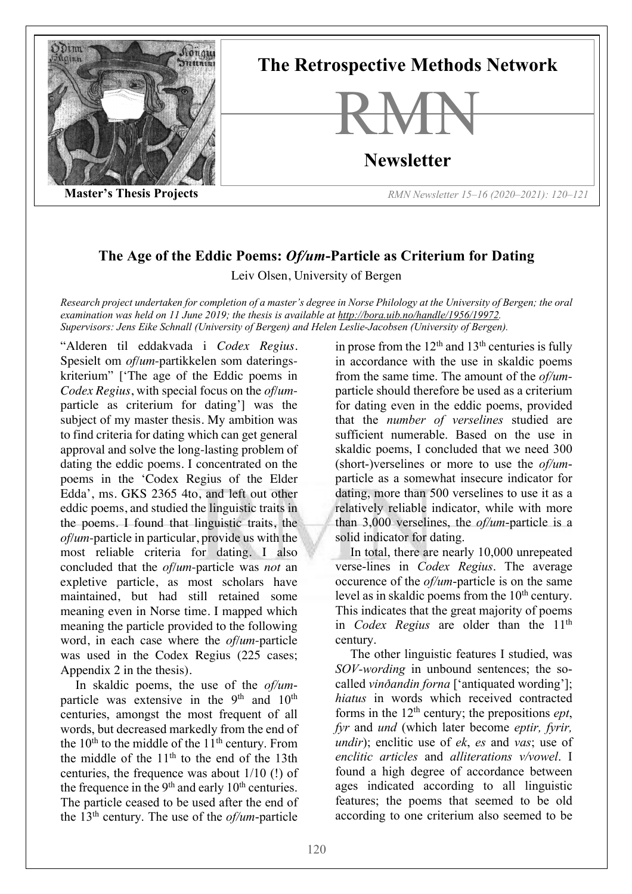

## **The Age of the Eddic Poems:** *Of/um***-Particle as Criterium for Dating**

Leiv Olsen, University of Bergen

*Research project undertaken for completion of a master's degree in Norse Philology at the University of Bergen; the oral examination was held on 11 June 2019; the thesis is available at http://bora.uib.no/handle/1956/19972. Supervisors: Jens Eike Schnall (University of Bergen) and Helen Leslie-Jacobsen (University of Bergen).*

"Alderen til eddakvada i *Codex Regius*. Spesielt om *of/um*-partikkelen som dateringskriterium" ['The age of the Eddic poems in *Codex Regius*, with special focus on the *of/um*particle as criterium for dating'] was the subject of my master thesis. My ambition was to find criteria for dating which can get general approval and solve the long-lasting problem of dating the eddic poems. I concentrated on the poems in the 'Codex Regius of the Elder Edda', ms. GKS 2365 4to, and left out other eddic poems, and studied the linguistic traits in the poems. I found that linguistic traits, the *of/um*-particle in particular, provide us with the most reliable criteria for dating. I also concluded that the *of/um*-particle was *not* an expletive particle, as most scholars have maintained, but had still retained some meaning even in Norse time. I mapped which meaning the particle provided to the following word, in each case where the *of/um*-particle was used in the Codex Regius (225 cases; Appendix 2 in the thesis).

In skaldic poems, the use of the *of/um*particle was extensive in the  $9<sup>th</sup>$  and  $10<sup>th</sup>$ centuries, amongst the most frequent of all words, but decreased markedly from the end of the  $10<sup>th</sup>$  to the middle of the  $11<sup>th</sup>$  century. From the middle of the  $11<sup>th</sup>$  to the end of the 13th centuries, the frequence was about 1/10 (!) of the frequence in the  $9<sup>th</sup>$  and early  $10<sup>th</sup>$  centuries. The particle ceased to be used after the end of the 13th century. The use of the *of/um*-particle

in prose from the  $12<sup>th</sup>$  and  $13<sup>th</sup>$  centuries is fully in accordance with the use in skaldic poems from the same time. The amount of the *of/um*particle should therefore be used as a criterium for dating even in the eddic poems, provided that the *number of verselines* studied are sufficient numerable. Based on the use in skaldic poems, I concluded that we need 300 (short-)verselines or more to use the *of/um*particle as a somewhat insecure indicator for dating, more than 500 verselines to use it as a relatively reliable indicator, while with more than 3,000 verselines, the *of/um*-particle is a solid indicator for dating.

In total, there are nearly 10,000 unrepeated verse-lines in *Codex Regius*. The average occurence of the *of/um*-particle is on the same level as in skaldic poems from the  $10<sup>th</sup>$  century. This indicates that the great majority of poems in *Codex Regius* are older than the 11th century.

The other linguistic features I studied, was *SOV-wording* in unbound sentences; the socalled *vinðandin forna* ['antiquated wording']; *hiatus* in words which received contracted forms in the  $12<sup>th</sup>$  century; the prepositions *ept*, *fyr* and *und* (which later become *eptir, fyrir, undir*); enclitic use of *ek*, *es* and *vas*; use of *enclitic articles* and *alliterations v/vowel*. I found a high degree of accordance between ages indicated according to all linguistic features; the poems that seemed to be old according to one criterium also seemed to be